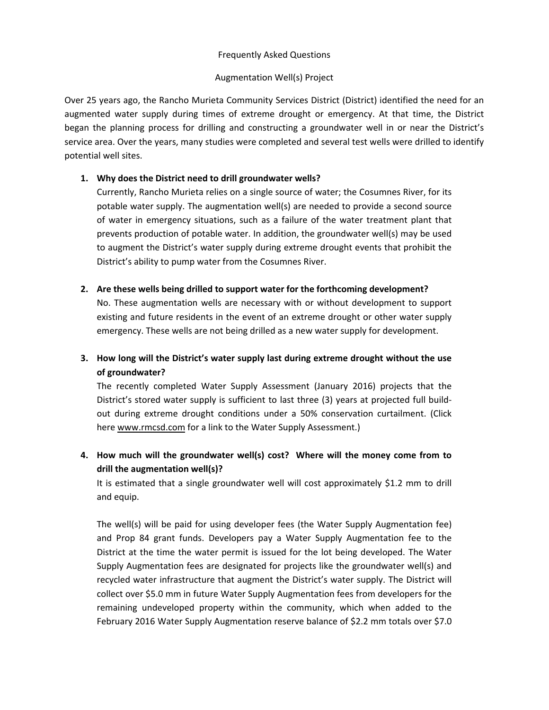### Frequently Asked Questions

### Augmentation Well(s) Project

Over 25 years ago, the Rancho Murieta Community Services District (District) identified the need for an augmented water supply during times of extreme drought or emergency. At that time, the District began the planning process for drilling and constructing a groundwater well in or near the District's service area. Over the years, many studies were completed and several test wells were drilled to identify potential well sites.

## **1. Why does the District need to drill groundwater wells?**

Currently, Rancho Murieta relies on a single source of water; the Cosumnes River, for its potable water supply. The augmentation well(s) are needed to provide a second source of water in emergency situations, such as a failure of the water treatment plant that prevents production of potable water. In addition, the groundwater well(s) may be used to augment the District's water supply during extreme drought events that prohibit the District's ability to pump water from the Cosumnes River.

## **2. Are these wells being drilled to support water for the forthcoming development?**

No. These augmentation wells are necessary with or without development to support existing and future residents in the event of an extreme drought or other water supply emergency. These wells are not being drilled as a new water supply for development.

# **3. How long will the District's water supply last during extreme drought without the use of groundwater?**

The recently completed Water Supply Assessment (January 2016) projects that the District's stored water supply is sufficient to last three (3) years at projected full build‐ out during extreme drought conditions under a 50% conservation curtailment. (Click here www.rmcsd.com for a link to the Water Supply Assessment.)

# **4. How much will the groundwater well(s) cost? Where will the money come from to drill the augmentation well(s)?**

It is estimated that a single groundwater well will cost approximately \$1.2 mm to drill and equip.

The well(s) will be paid for using developer fees (the Water Supply Augmentation fee) and Prop 84 grant funds. Developers pay a Water Supply Augmentation fee to the District at the time the water permit is issued for the lot being developed. The Water Supply Augmentation fees are designated for projects like the groundwater well(s) and recycled water infrastructure that augment the District's water supply. The District will collect over \$5.0 mm in future Water Supply Augmentation fees from developers for the remaining undeveloped property within the community, which when added to the February 2016 Water Supply Augmentation reserve balance of \$2.2 mm totals over \$7.0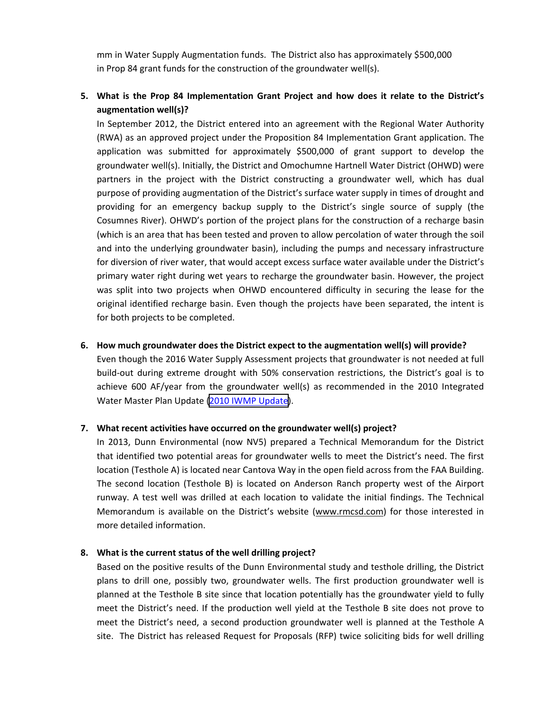mm in Water Supply Augmentation funds. The District also has approximately \$500,000 in Prop 84 grant funds for the construction of the groundwater well(s).

# **5. What is the Prop 84 Implementation Grant Project and how does it relate to the District's augmentation well(s)?**

In September 2012, the District entered into an agreement with the Regional Water Authority (RWA) as an approved project under the Proposition 84 Implementation Grant application. The application was submitted for approximately \$500,000 of grant support to develop the groundwater well(s). Initially, the District and Omochumne Hartnell Water District (OHWD) were partners in the project with the District constructing a groundwater well, which has dual purpose of providing augmentation of the District's surface water supply in times of drought and providing for an emergency backup supply to the District's single source of supply (the Cosumnes River). OHWD's portion of the project plans for the construction of a recharge basin (which is an area that has been tested and proven to allow percolation of water through the soil and into the underlying groundwater basin), including the pumps and necessary infrastructure for diversion of river water, that would accept excess surface water available under the District's primary water right during wet years to recharge the groundwater basin. However, the project was split into two projects when OHWD encountered difficulty in securing the lease for the original identified recharge basin. Even though the projects have been separated, the intent is for both projects to be completed.

### **6. How much groundwater does the District expect to the augmentation well(s) will provide?**

Even though the 2016 Water Supply Assessment projects that groundwater is not needed at full build-out during extreme drought with 50% conservation restrictions, the District's goal is to achieve 600 AF/year from the groundwater well(s) as recommended in the 2010 Integrated Water Master Plan Update (2010 IWMP [Update\)](http://www.ranchomurietacsd.com/water-department-publications).

### **7. What recent activities have occurred on the groundwater well(s) project?**

In 2013, Dunn Environmental (now NV5) prepared a Technical Memorandum for the District that identified two potential areas for groundwater wells to meet the District's need. The first location (Testhole A) is located near Cantova Way in the open field across from the FAA Building. The second location (Testhole B) is located on Anderson Ranch property west of the Airport runway. A test well was drilled at each location to validate the initial findings. The Technical Memorandum is available on the District's website (www.rmcsd.com) for those interested in more detailed information.

### **8. What is the current status of the well drilling project?**

Based on the positive results of the Dunn Environmental study and testhole drilling, the District plans to drill one, possibly two, groundwater wells. The first production groundwater well is planned at the Testhole B site since that location potentially has the groundwater yield to fully meet the District's need. If the production well yield at the Testhole B site does not prove to meet the District's need, a second production groundwater well is planned at the Testhole A site. The District has released Request for Proposals (RFP) twice soliciting bids for well drilling